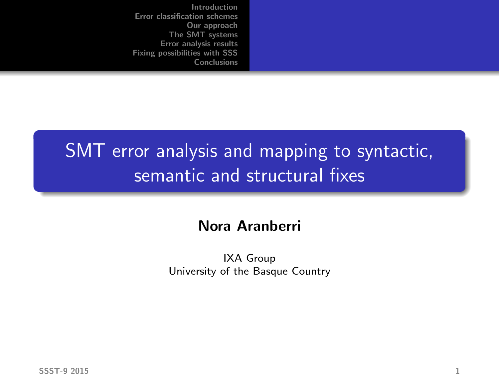# SMT error analysis and mapping to syntactic, semantic and structural fixes

#### Nora Aranberri

IXA Group University of the Basque Country

 $S$ SST-9 2015 1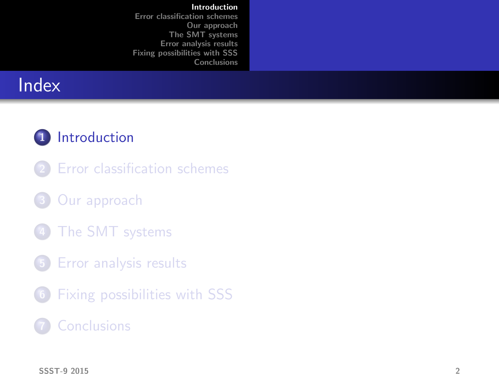# **Index**

### 1 [Introduction](#page-1-0)

- 2 [Error classification schemes](#page-4-0)
- 3 [Our approach](#page-11-0)
- [The SMT systems](#page-14-0)
- 5 [Error analysis results](#page-16-0)
- 6 [Fixing possibilities with SSS](#page-31-0)

### <span id="page-1-0"></span>**[Conclusions](#page-41-0)**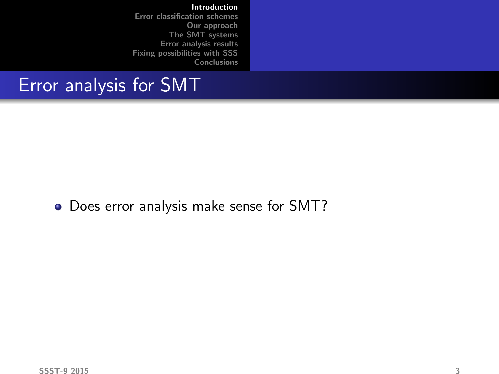# Error analysis for SMT

Does error analysis make sense for SMT?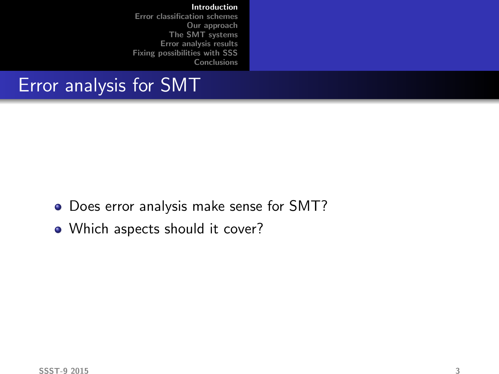### Error analysis for SMT

- Does error analysis make sense for SMT?
- Which aspects should it cover?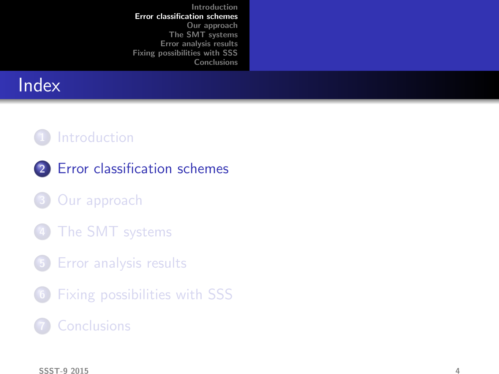# **Index**

### 1 [Introduction](#page-1-0)

- 2 [Error classification schemes](#page-4-0)
- [Our approach](#page-11-0)
- [The SMT systems](#page-14-0)
- 5 [Error analysis results](#page-16-0)
- 6 [Fixing possibilities with SSS](#page-31-0)

### **[Conclusions](#page-41-0)**

<span id="page-4-0"></span> $S$ SST-9 2015  $4$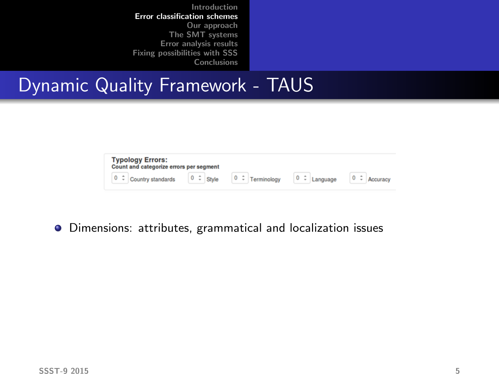## Dynamic Quality Framework - TAUS

|  | <b>Typology Errors:</b><br>Count and categorize errors per segment |  |                                                 |  |  |          |          |  |          |
|--|--------------------------------------------------------------------|--|-------------------------------------------------|--|--|----------|----------|--|----------|
|  |                                                                    |  | $\begin{array}{ccc} 0 & - \\ \end{array}$ Style |  |  | $0 \div$ | Language |  | Accuracy |

Dimensions: attributes, grammatical and localization issues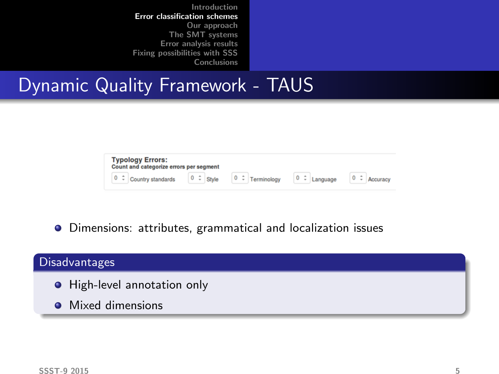## Dynamic Quality Framework - TAUS

|               | <b>Typology Errors:</b><br>Count and categorize errors per segment |  |                                                |  |                      |             |                    |  |                          |
|---------------|--------------------------------------------------------------------|--|------------------------------------------------|--|----------------------|-------------|--------------------|--|--------------------------|
| $0$ $\hat{z}$ | Country standards                                                  |  | $\begin{vmatrix} 0 & - \\ \end{vmatrix}$ Style |  | $0 \div$ Terminology | $\mathbf 0$ | $\hat{z}$ Language |  | $0 \div \text{Accuracy}$ |

Dimensions: attributes, grammatical and localization issues

# Disadvantages **•** High-level annotation only • Mixed dimensions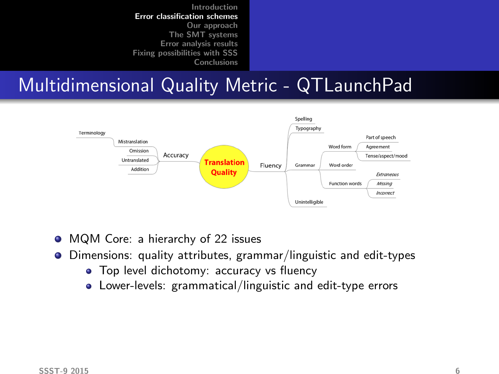## Multidimensional Quality Metric - QTLaunchPad



- MQM Core: a hierarchy of 22 issues  $\bullet$
- Dimensions: quality attributes, grammar/linguistic and edit-types 0
	- **•** Top level dichotomy: accuracy vs fluency
	- Lower-levels: grammatical/linguistic and edit-type errors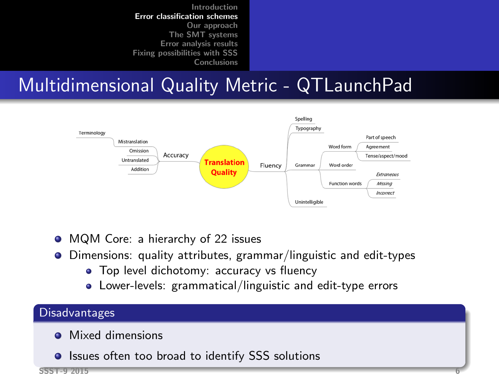# Multidimensional Quality Metric - QTLaunchPad



- MQM Core: a hierarchy of 22 issues  $\bullet$
- Dimensions: quality attributes, grammar/linguistic and edit-types 0
	- **•** Top level dichotomy: accuracy vs fluency
	- Lower-levels: grammatical/linguistic and edit-type errors

#### **Disadvantages**

- **Mixed dimensions**
- **Issues often too broad to identify SSS solutions**

SSST-9 2015 6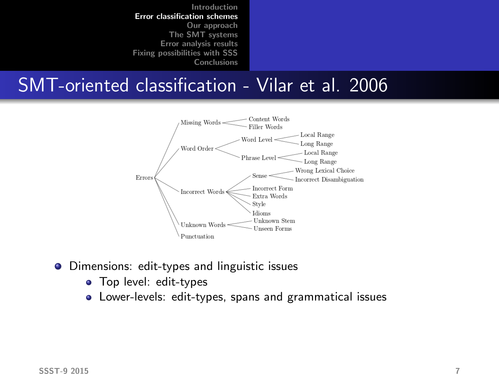### SMT-oriented classification - Vilar et al. 2006



- **•** Dimensions: edit-types and linguistic issues
	- Top level: edit-types
	- Lower-levels: edit-types, spans and grammatical issues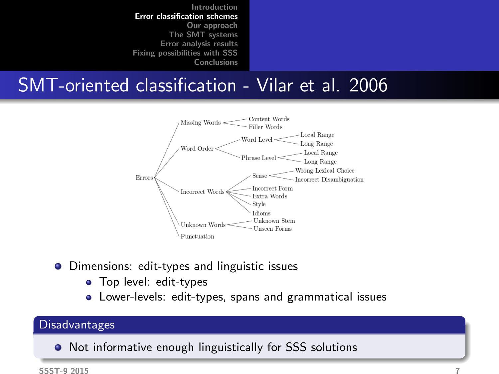## SMT-oriented classification - Vilar et al. 2006



- **•** Dimensions: edit-types and linguistic issues
	- Top level: edit-types
	- Lower-levels: edit-types, spans and grammatical issues

#### Disadvantages

• Not informative enough linguistically for SSS solutions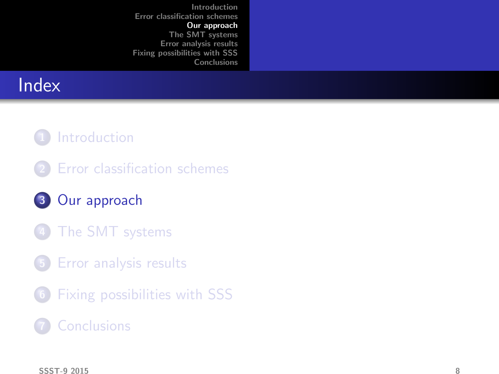# **Index**

### 1 [Introduction](#page-1-0)

- 2 [Error classification schemes](#page-4-0)
- 3 [Our approach](#page-11-0)
- [The SMT systems](#page-14-0)
- 5 [Error analysis results](#page-16-0)
- 6 [Fixing possibilities with SSS](#page-31-0)

### <span id="page-11-0"></span>**[Conclusions](#page-41-0)**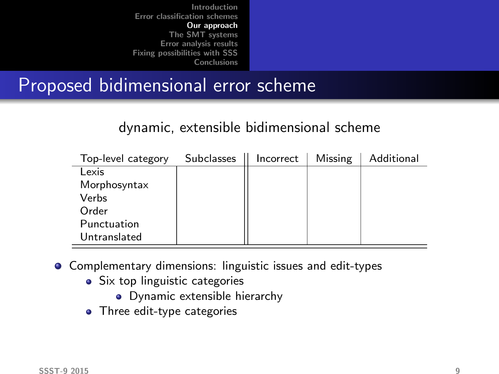## Proposed bidimensional error scheme

#### dynamic, extensible bidimensional scheme

| Top-level category | <b>Subclasses</b> | Incorrect | Missing | Additional |
|--------------------|-------------------|-----------|---------|------------|
| Lexis              |                   |           |         |            |
| Morphosyntax       |                   |           |         |            |
| Verbs              |                   |           |         |            |
| Order              |                   |           |         |            |
| Punctuation        |                   |           |         |            |
| Untranslated       |                   |           |         |            |

- Complementary dimensions: linguistic issues and edit-types
	- Six top linguistic categories
		- Dynamic extensible hierarchy
	- Three edit-type categories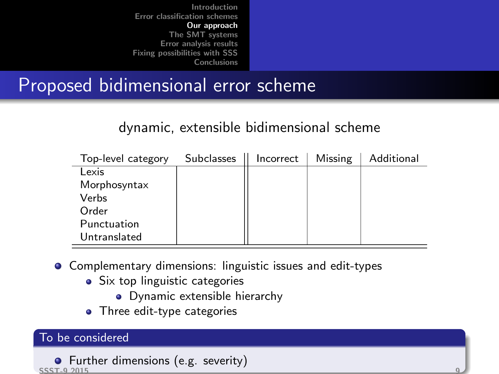# Proposed bidimensional error scheme

#### dynamic, extensible bidimensional scheme

| Top-level category | <b>Subclasses</b> | Incorrect | Missing | Additional |
|--------------------|-------------------|-----------|---------|------------|
| Lexis              |                   |           |         |            |
| Morphosyntax       |                   |           |         |            |
| Verbs              |                   |           |         |            |
| Order              |                   |           |         |            |
| Punctuation        |                   |           |         |            |
| Untranslated       |                   |           |         |            |

- Complementary dimensions: linguistic issues and edit-types
	- Six top linguistic categories
		- Dynamic extensible hierarchy
	- Three edit-type categories

#### To be considered

```
\bullet Further dimensions (e.g. severity)
SSST-9 2015 9
```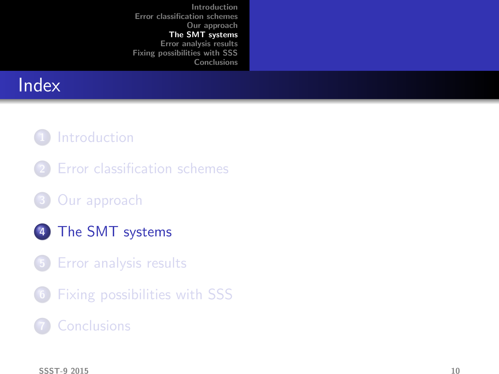# **Index**

#### 1 [Introduction](#page-1-0)

- 2 [Error classification schemes](#page-4-0)
- 3 [Our approach](#page-11-0)
- 4 [The SMT systems](#page-14-0)
- 5 [Error analysis results](#page-16-0)
- 6 [Fixing possibilities with SSS](#page-31-0)

### **[Conclusions](#page-41-0)**

<span id="page-14-0"></span> $S$ SST-9 2015 10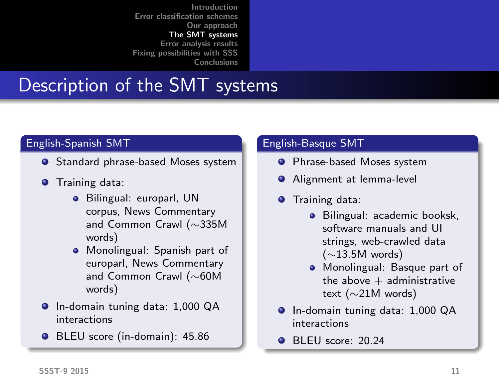# Description of the SMT systems

#### English-Spanish SMT

- **•** Standard phrase-based Moses system
- **O** Training data:
	- **•** Bilingual: europarl, UN corpus, News Commentary and Common Crawl (∼335M words)
	- **•** Monolingual: Spanish part of europarl, News Commentary and Common Crawl (∼60M words)
- In-domain tuning data: 1,000 QA interactions
- BLEU score (in-domain): 45.86

#### English-Basque SMT

- **•** Phrase-based Moses system
- **Alignment at lemma-level**
- **O** Training data:
	- **Bilingual: academic booksk.** software manuals and UI strings, web-crawled data (∼13.5M words)
	- **•** Monolingual: Basque part of the above  $+$  administrative text (∼21M words)
- **O** In-domain tuning data: 1,000 QA interactions
- BLEU score: 20.24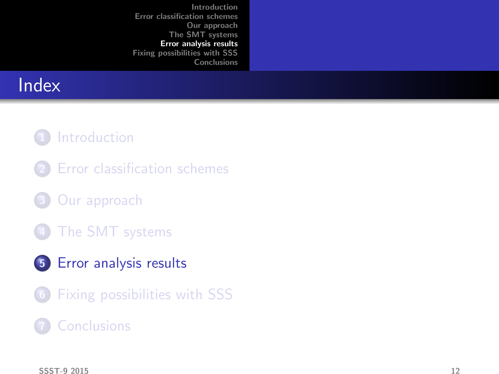# **Index**

#### 1 [Introduction](#page-1-0)

- 2 [Error classification schemes](#page-4-0)
- 3 [Our approach](#page-11-0)
- [The SMT systems](#page-14-0)
- 5 [Error analysis results](#page-16-0)
- 6 [Fixing possibilities with SSS](#page-31-0)

#### **[Conclusions](#page-41-0)**

<span id="page-16-0"></span> $S$ SST-9 2015 12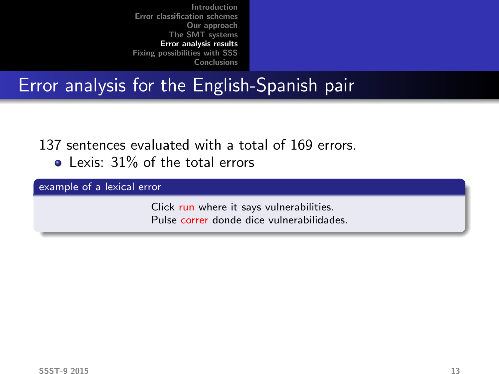## Error analysis for the English-Spanish pair

137 sentences evaluated with a total of 169 errors.

• Lexis: 31% of the total errors

example of a lexical error

Click run where it says vulnerabilities. Pulse correr donde dice vulnerabilidades.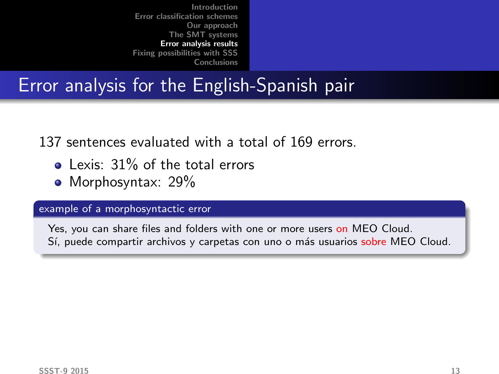# Error analysis for the English-Spanish pair

137 sentences evaluated with a total of 169 errors.

- **a** Lexis: 31% of the total errors
- Morphosyntax: 29%

#### example of a morphosyntactic error

Yes, you can share files and folders with one or more users on MEO Cloud. Sí, puede compartir archivos y carpetas con uno o más usuarios sobre MEO Cloud.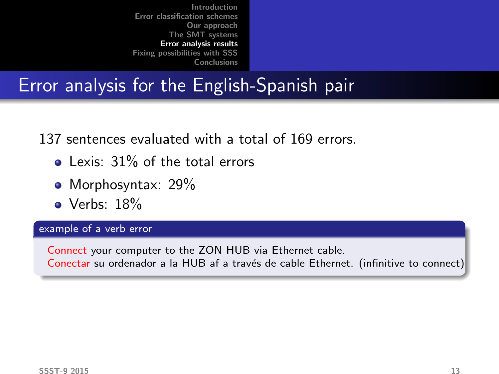# Error analysis for the English-Spanish pair

137 sentences evaluated with a total of 169 errors.

- Lexis: 31% of the total errors
- Morphosyntax: 29%
- Verbs: 18%

#### example of a verb error

Connect your computer to the ZON HUB via Ethernet cable. Conectar su ordenador a la HUB af a través de cable Ethernet. (infinitive to connect)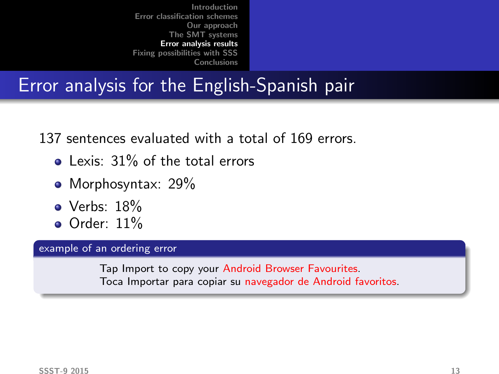# Error analysis for the English-Spanish pair

137 sentences evaluated with a total of 169 errors.

- Lexis: 31% of the total errors
- Morphosyntax: 29%
- $\bullet$  Verbs: 18%
- $\bullet$  Order:  $11\%$

#### example of an ordering error

Tap Import to copy your Android Browser Favourites. Toca Importar para copiar su navegador de Android favoritos.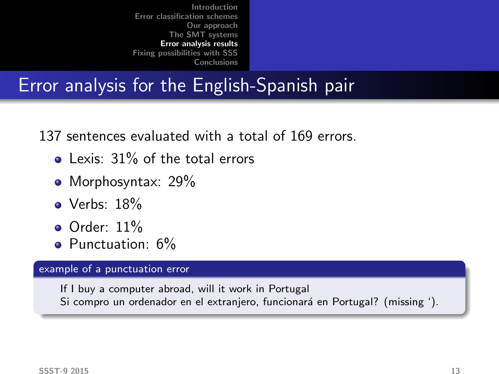# Error analysis for the English-Spanish pair

137 sentences evaluated with a total of 169 errors.

- Lexis: 31% of the total errors
- Morphosyntax: 29%
- Verbs: 18%
- $\bullet$  Order: 11%
- Punctuation: 6%

#### example of a punctuation error

If I buy a computer abroad, will it work in Portugal Si compro un ordenador en el extranjero, funcionará en Portugal? (missing ').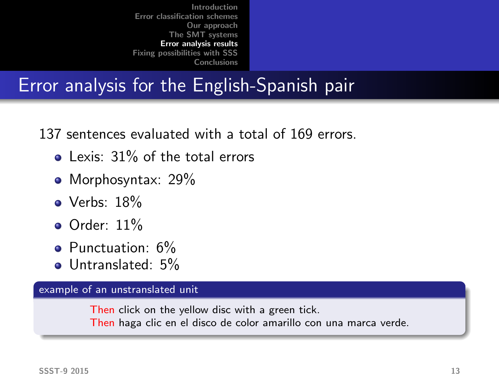# Error analysis for the English-Spanish pair

137 sentences evaluated with a total of 169 errors.

- $\bullet$  Lexis: 31% of the total errors
- Morphosyntax: 29%
- Verbs: 18%
- **Order: 11%**
- Punctuation: 6%
- Untranslated: 5%

#### example of an unstranslated unit

Then click on the yellow disc with a green tick.

Then haga clic en el disco de color amarillo con una marca verde.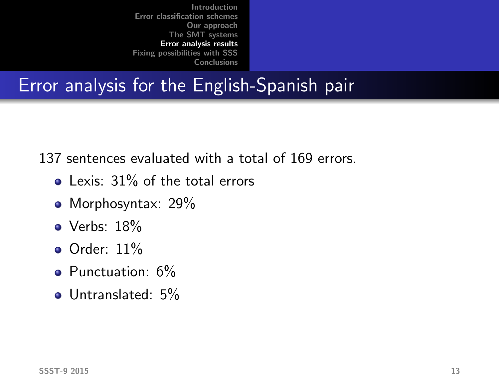# Error analysis for the English-Spanish pair

137 sentences evaluated with a total of 169 errors.

- **Q** Lexis: 31% of the total errors
- Morphosyntax: 29%
- Verbs: 18%
- $\bullet$  Order: 11%
- Punctuation: 6%
- Untranslated: 5%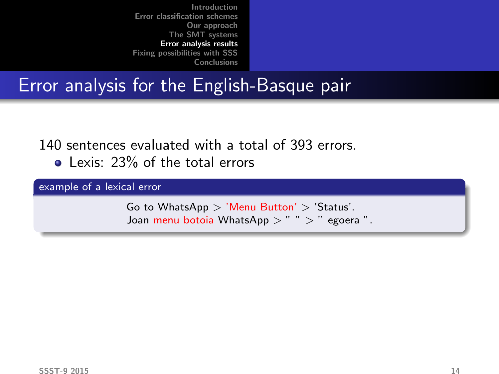## Error analysis for the English-Basque pair

140 sentences evaluated with a total of 393 errors.

• Lexis: 23% of the total errors

example of a lexical error

Go to WhatsApp > 'Menu Button' > 'Status'. Joan menu botoia WhatsApp  $>$  "  $>$  " egoera ".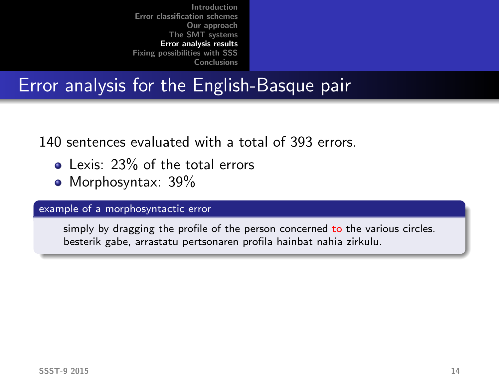# Error analysis for the English-Basque pair

140 sentences evaluated with a total of 393 errors.

- Lexis: 23% of the total errors
- Morphosyntax: 39%

#### example of a morphosyntactic error

simply by dragging the profile of the person concerned to the various circles. besterik gabe, arrastatu pertsonaren profila hainbat nahia zirkulu.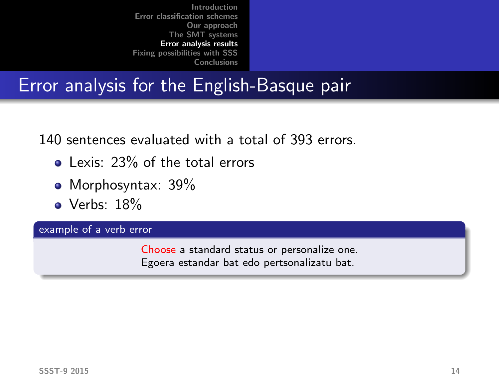# Error analysis for the English-Basque pair

140 sentences evaluated with a total of 393 errors.

- Lexis: 23% of the total errors
- Morphosyntax: 39%
- Verbs: 18%

example of a verb error

Choose a standard status or personalize one. Egoera estandar bat edo pertsonalizatu bat.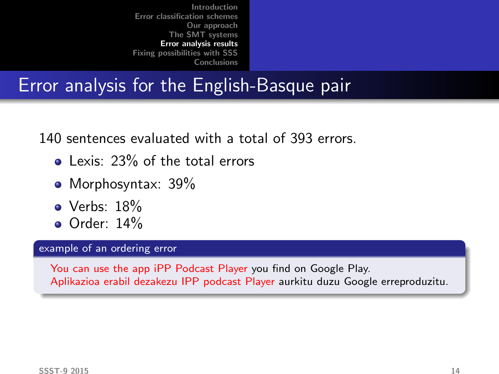# Error analysis for the English-Basque pair

140 sentences evaluated with a total of 393 errors.

- Lexis: 23% of the total errors
- Morphosyntax: 39%
- $\bullet$  Verbs: 18%
- $\bullet$  Order: 14%

#### example of an ordering error

You can use the app iPP Podcast Player you find on Google Play. Aplikazioa erabil dezakezu IPP podcast Player aurkitu duzu Google erreproduzitu.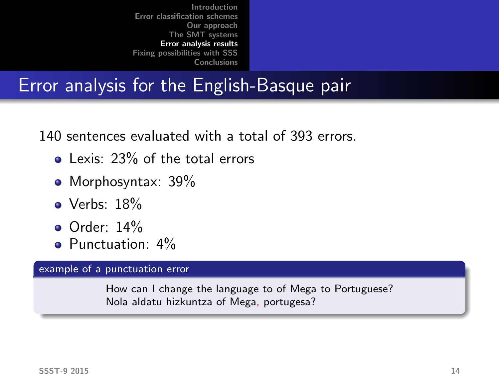# Error analysis for the English-Basque pair

140 sentences evaluated with a total of 393 errors.

- Lexis: 23% of the total errors
- Morphosyntax: 39%
- Verbs: 18%
- **•** Order: 14%
- Punctuation: 4%

#### example of a punctuation error

How can I change the language to of Mega to Portuguese? Nola aldatu hizkuntza of Mega, portugesa?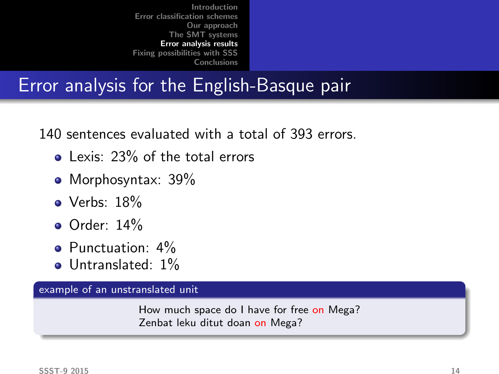# Error analysis for the English-Basque pair

140 sentences evaluated with a total of 393 errors.

- $\bullet$  Lexis: 23% of the total errors
- Morphosyntax: 39%
- Verbs: 18%
- **o** Order: 14%
- **•** Punctuation: 4%
- Untranslated: 1%

example of an unstranslated unit

How much space do I have for free on Mega? Zenbat leku ditut doan on Mega?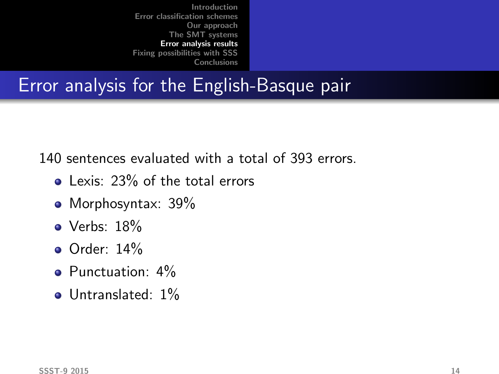## Error analysis for the English-Basque pair

140 sentences evaluated with a total of 393 errors.

- **Lexis: 23% of the total errors**
- Morphosyntax: 39%
- Verbs: 18%
- $\bullet$  Order: 14%
- **Punctuation: 4%**
- $\bullet$  Untranslated:  $1\%$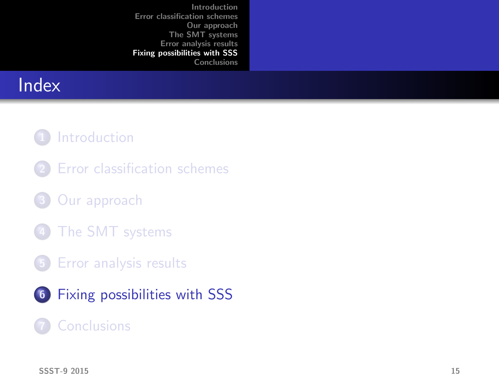# **Index**

### 1 [Introduction](#page-1-0)

- 2 [Error classification schemes](#page-4-0)
- 3 [Our approach](#page-11-0)
- [The SMT systems](#page-14-0)
- 5 [Error analysis results](#page-16-0)
- 6 [Fixing possibilities with SSS](#page-31-0)

#### <span id="page-31-0"></span>**[Conclusions](#page-41-0)**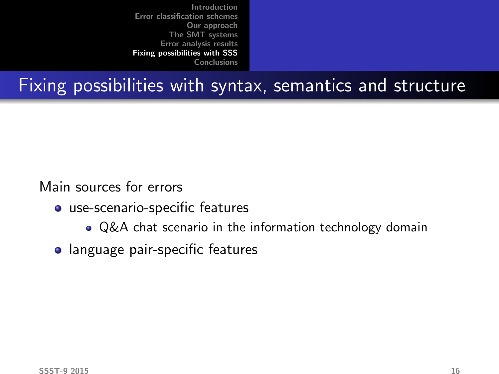# Fixing possibilities with syntax, semantics and structure

Main sources for errors

- use-scenario-specific features
	- Q&A chat scenario in the information technology domain
- language pair-specific features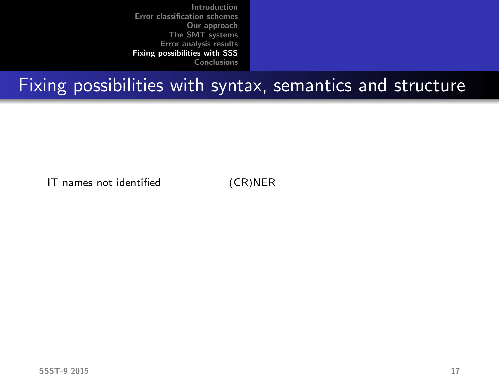## Fixing possibilities with syntax, semantics and structure

IT names not identified (CR)NER

 $S$ SST-9 2015 17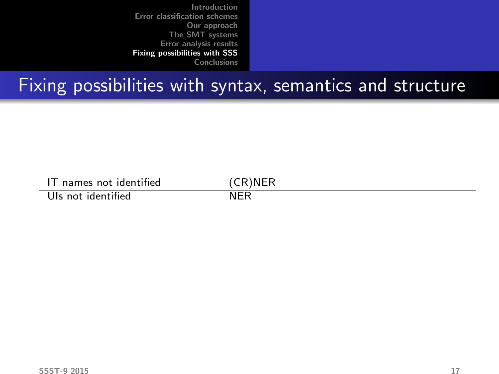| names not identified | 'R)NER |
|----------------------|--------|
| Uls not identified   |        |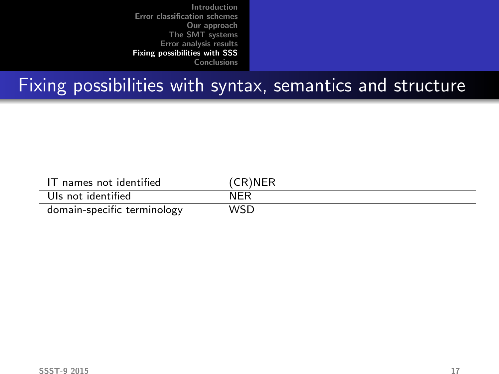| IT names not identified     | (CR)NER |
|-----------------------------|---------|
| Uls not identified          | NFR     |
| domain-specific terminology | WSD     |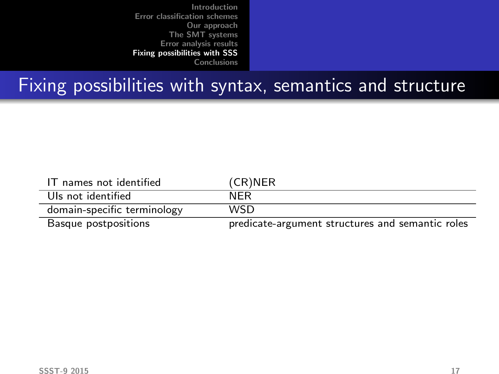| IT names not identified     | (CR)NER                                          |
|-----------------------------|--------------------------------------------------|
| Uls not identified          | <b>NFR</b>                                       |
| domain-specific terminology | WSD                                              |
| Basque postpositions        | predicate-argument structures and semantic roles |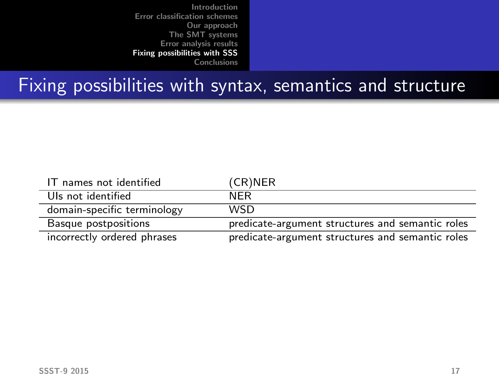| IT names not identified     | (CR)NER                                          |
|-----------------------------|--------------------------------------------------|
| Uls not identified          | <b>NFR</b>                                       |
| domain-specific terminology | <b>WSD</b>                                       |
| Basque postpositions        | predicate-argument structures and semantic roles |
| incorrectly ordered phrases | predicate-argument structures and semantic roles |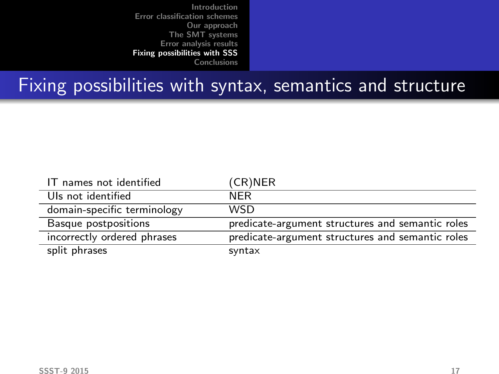| IT names not identified     | (CR)NER                                          |
|-----------------------------|--------------------------------------------------|
| Uls not identified          | <b>NFR</b>                                       |
| domain-specific terminology | <b>WSD</b>                                       |
| Basque postpositions        | predicate-argument structures and semantic roles |
| incorrectly ordered phrases | predicate-argument structures and semantic roles |
| split phrases               | syntax                                           |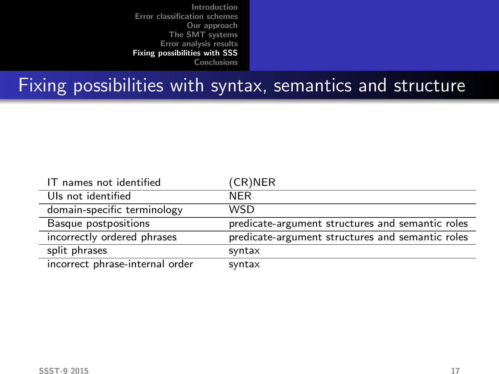| IT names not identified         | (CR)NER                                          |
|---------------------------------|--------------------------------------------------|
| Uls not identified              | <b>NFR</b>                                       |
| domain-specific terminology     | <b>WSD</b>                                       |
| Basque postpositions            | predicate-argument structures and semantic roles |
| incorrectly ordered phrases     | predicate-argument structures and semantic roles |
| split phrases                   | syntax                                           |
| incorrect phrase-internal order | syntax                                           |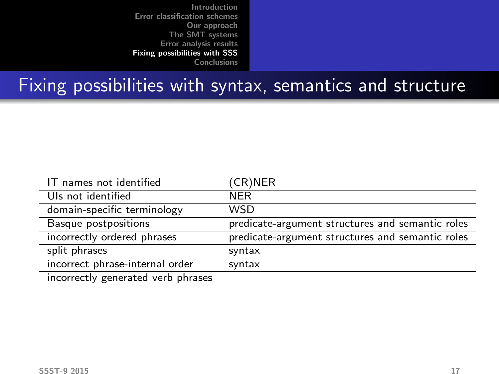## Fixing possibilities with syntax, semantics and structure

| IT names not identified            | (CR)NER                                          |
|------------------------------------|--------------------------------------------------|
| Uls not identified                 | <b>NFR</b>                                       |
| domain-specific terminology        | WSD                                              |
| Basque postpositions               | predicate-argument structures and semantic roles |
| incorrectly ordered phrases        | predicate-argument structures and semantic roles |
| split phrases                      | syntax                                           |
| incorrect phrase-internal order    | syntax                                           |
| incorrectly concreted york phrases |                                                  |

incorrectly generated verb phrases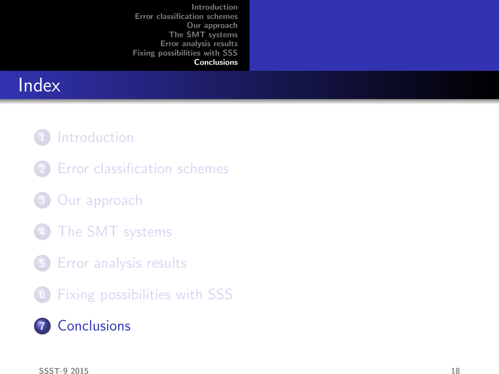# **Index**

#### 1 [Introduction](#page-1-0)

- 2 [Error classification schemes](#page-4-0)
- 3 [Our approach](#page-11-0)
- [The SMT systems](#page-14-0)
- 5 [Error analysis results](#page-16-0)
- 6 [Fixing possibilities with SSS](#page-31-0)

### <span id="page-41-0"></span>**7** [Conclusions](#page-41-0)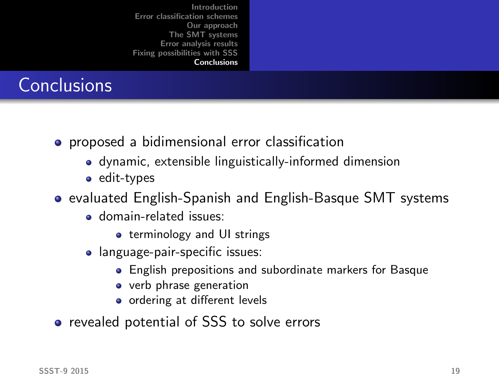# **Conclusions**

- **•** proposed a bidimensional error classification
	- dynamic, extensible linguistically-informed dimension
	- edit-types
- evaluated English-Spanish and English-Basque SMT systems
	- domain-related issues:
		- **•** terminology and UI strings
	- language-pair-specific issues:
		- English prepositions and subordinate markers for Basque
		- verb phrase generation
		- ordering at different levels
- revealed potential of SSS to solve errors